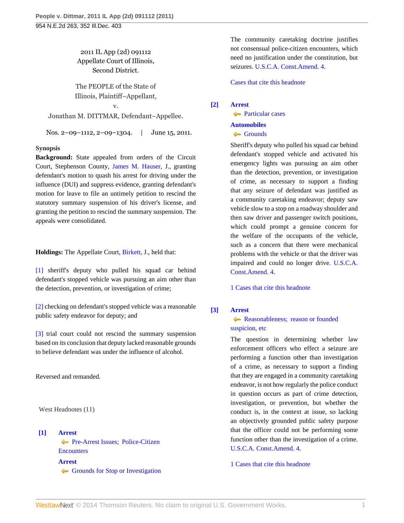2011 IL App (2d) 091112 Appellate Court of Illinois, Second District.

The PEOPLE of the State of Illinois, Plaintiff–Appellant,

v. Jonathan M. DITTMAR, Defendant–Appellee.

Nos. 2–09–1112, 2–09–1304. | June 15, 2011.

## **Synopsis**

**Background:** State appealed from orders of the Circuit Court, Stephenson County, [James M. Hauser](http://www.westlaw.com/Link/Document/FullText?findType=h&pubNum=176284&cite=0318804101&originatingDoc=I00d3bd209b8f11e0b63e897ab6fa6920&refType=RQ&originationContext=document&vr=3.0&rs=cblt1.0&transitionType=DocumentItem&contextData=(sc.Search)), J., granting defendant's motion to quash his arrest for driving under the influence (DUI) and suppress evidence, granting defendant's motion for leave to file an untimely petition to rescind the statutory summary suspension of his driver's license, and granting the petition to rescind the summary suspension. The appeals were consolidated.

**Holdings:** The Appellate Court, [Birkett](http://www.westlaw.com/Link/Document/FullText?findType=h&pubNum=176284&cite=0124634501&originatingDoc=I00d3bd209b8f11e0b63e897ab6fa6920&refType=RQ&originationContext=document&vr=3.0&rs=cblt1.0&transitionType=DocumentItem&contextData=(sc.Search)), J., held that:

[\[1\]](#page-0-0) sheriff's deputy who pulled his squad car behind defendant's stopped vehicle was pursuing an aim other than the detection, prevention, or investigation of crime;

[\[2\]](#page-1-0) checking on defendant's stopped vehicle was a reasonable public safety endeavor for deputy; and

[\[3\]](#page-1-1) trial court could not rescind the summary suspension based on its conclusion that deputy lacked reasonable grounds to believe defendant was under the influence of alcohol.

Reversed and remanded.

West Headnotes (11)

<span id="page-0-1"></span>**[\[1\]](#page-4-0) [Arrest](http://www.westlaw.com/Browse/Home/KeyNumber/35/View.html?docGuid=I00d3bd209b8f11e0b63e897ab6fa6920&originationContext=document&vr=3.0&rs=cblt1.0&transitionType=DocumentItem&contextData=(sc.Search)) [Pre-Arrest Issues; Police-Citizen](http://www.westlaw.com/Browse/Home/KeyNumber/35k60.1/View.html?docGuid=I00d3bd209b8f11e0b63e897ab6fa6920&originationContext=document&vr=3.0&rs=cblt1.0&transitionType=DocumentItem&contextData=(sc.Search)) [Encounters](http://www.westlaw.com/Browse/Home/KeyNumber/35k60.1/View.html?docGuid=I00d3bd209b8f11e0b63e897ab6fa6920&originationContext=document&vr=3.0&rs=cblt1.0&transitionType=DocumentItem&contextData=(sc.Search)) [Arrest](http://www.westlaw.com/Browse/Home/KeyNumber/35/View.html?docGuid=I00d3bd209b8f11e0b63e897ab6fa6920&originationContext=document&vr=3.0&rs=cblt1.0&transitionType=DocumentItem&contextData=(sc.Search))** [Grounds for Stop or Investigation](http://www.westlaw.com/Browse/Home/KeyNumber/35k60.2(6)/View.html?docGuid=I00d3bd209b8f11e0b63e897ab6fa6920&originationContext=document&vr=3.0&rs=cblt1.0&transitionType=DocumentItem&contextData=(sc.Search)) The community caretaking doctrine justifies not consensual police-citizen encounters, which need no justification under the constitution, but seizures. [U.S.C.A. Const.Amend. 4](http://www.westlaw.com/Link/Document/FullText?findType=L&pubNum=1000546&cite=USCOAMENDIV&originatingDoc=I00d3bd209b8f11e0b63e897ab6fa6920&refType=LQ&originationContext=document&vr=3.0&rs=cblt1.0&transitionType=DocumentItem&contextData=(sc.Search)).

[Cases that cite this headnote](http://www.westlaw.com/Link/RelatedInformation/DocHeadnoteLink?docGuid=I00d3bd209b8f11e0b63e897ab6fa6920&headnoteId=202552148000120120229201003&originationContext=document&vr=3.0&rs=cblt1.0&transitionType=CitingReferences&contextData=(sc.Search))

<span id="page-0-0"></span>**[\[2\]](#page-6-0) [Arrest](http://www.westlaw.com/Browse/Home/KeyNumber/35/View.html?docGuid=I00d3bd209b8f11e0b63e897ab6fa6920&originationContext=document&vr=3.0&rs=cblt1.0&transitionType=DocumentItem&contextData=(sc.Search))**

**[Particular cases](http://www.westlaw.com/Browse/Home/KeyNumber/35k60.3(2)/View.html?docGuid=I00d3bd209b8f11e0b63e897ab6fa6920&originationContext=document&vr=3.0&rs=cblt1.0&transitionType=DocumentItem&contextData=(sc.Search)) [Automobiles](http://www.westlaw.com/Browse/Home/KeyNumber/48A/View.html?docGuid=I00d3bd209b8f11e0b63e897ab6fa6920&originationContext=document&vr=3.0&rs=cblt1.0&transitionType=DocumentItem&contextData=(sc.Search))** [Grounds](http://www.westlaw.com/Browse/Home/KeyNumber/48Ak349(2)/View.html?docGuid=I00d3bd209b8f11e0b63e897ab6fa6920&originationContext=document&vr=3.0&rs=cblt1.0&transitionType=DocumentItem&contextData=(sc.Search))

Sheriff's deputy who pulled his squad car behind defendant's stopped vehicle and activated his emergency lights was pursuing an aim other than the detection, prevention, or investigation of crime, as necessary to support a finding that any seizure of defendant was justified as a community caretaking endeavor; deputy saw vehicle slow to a stop on a roadway shoulder and then saw driver and passenger switch positions, which could prompt a genuine concern for the welfare of the occupants of the vehicle, such as a concern that there were mechanical problems with the vehicle or that the driver was impaired and could no longer drive. [U.S.C.A.](http://www.westlaw.com/Link/Document/FullText?findType=L&pubNum=1000546&cite=USCOAMENDIV&originatingDoc=I00d3bd209b8f11e0b63e897ab6fa6920&refType=LQ&originationContext=document&vr=3.0&rs=cblt1.0&transitionType=DocumentItem&contextData=(sc.Search)) [Const.Amend. 4.](http://www.westlaw.com/Link/Document/FullText?findType=L&pubNum=1000546&cite=USCOAMENDIV&originatingDoc=I00d3bd209b8f11e0b63e897ab6fa6920&refType=LQ&originationContext=document&vr=3.0&rs=cblt1.0&transitionType=DocumentItem&contextData=(sc.Search))

[1 Cases that cite this headnote](http://www.westlaw.com/Link/RelatedInformation/DocHeadnoteLink?docGuid=I00d3bd209b8f11e0b63e897ab6fa6920&headnoteId=202552148000220120229201003&originationContext=document&vr=3.0&rs=cblt1.0&transitionType=CitingReferences&contextData=(sc.Search))

# <span id="page-0-2"></span>**[\[3\]](#page-6-1) [Arrest](http://www.westlaw.com/Browse/Home/KeyNumber/35/View.html?docGuid=I00d3bd209b8f11e0b63e897ab6fa6920&originationContext=document&vr=3.0&rs=cblt1.0&transitionType=DocumentItem&contextData=(sc.Search))**

# **Reasonableness**; reason or founded [suspicion, etc](http://www.westlaw.com/Browse/Home/KeyNumber/35k60.2(10)/View.html?docGuid=I00d3bd209b8f11e0b63e897ab6fa6920&originationContext=document&vr=3.0&rs=cblt1.0&transitionType=DocumentItem&contextData=(sc.Search))

The question in determining whether law enforcement officers who effect a seizure are performing a function other than investigation of a crime, as necessary to support a finding that they are engaged in a community caretaking endeavor, is not how regularly the police conduct in question occurs as part of crime detection, investigation, or prevention, but whether the conduct is, in the context at issue, so lacking an objectively grounded public safety purpose that the officer could not be performing some function other than the investigation of a crime. [U.S.C.A. Const.Amend. 4.](http://www.westlaw.com/Link/Document/FullText?findType=L&pubNum=1000546&cite=USCOAMENDIV&originatingDoc=I00d3bd209b8f11e0b63e897ab6fa6920&refType=LQ&originationContext=document&vr=3.0&rs=cblt1.0&transitionType=DocumentItem&contextData=(sc.Search))

[1 Cases that cite this headnote](http://www.westlaw.com/Link/RelatedInformation/DocHeadnoteLink?docGuid=I00d3bd209b8f11e0b63e897ab6fa6920&headnoteId=202552148000320120229201003&originationContext=document&vr=3.0&rs=cblt1.0&transitionType=CitingReferences&contextData=(sc.Search))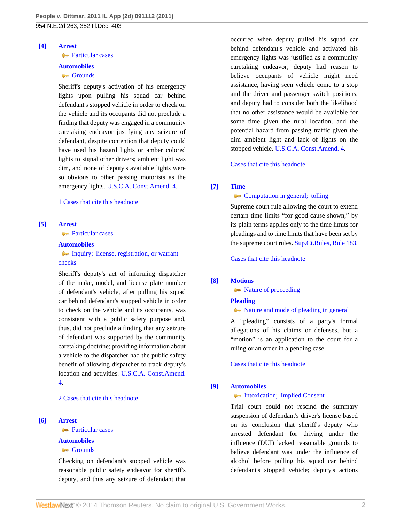#### <span id="page-1-2"></span>**[\[4\]](#page-6-2) [Arrest](http://www.westlaw.com/Browse/Home/KeyNumber/35/View.html?docGuid=I00d3bd209b8f11e0b63e897ab6fa6920&originationContext=document&vr=3.0&rs=cblt1.0&transitionType=DocumentItem&contextData=(sc.Search))**

## **[Particular cases](http://www.westlaw.com/Browse/Home/KeyNumber/35k60.3(2)/View.html?docGuid=I00d3bd209b8f11e0b63e897ab6fa6920&originationContext=document&vr=3.0&rs=cblt1.0&transitionType=DocumentItem&contextData=(sc.Search))**

### **[Automobiles](http://www.westlaw.com/Browse/Home/KeyNumber/48A/View.html?docGuid=I00d3bd209b8f11e0b63e897ab6fa6920&originationContext=document&vr=3.0&rs=cblt1.0&transitionType=DocumentItem&contextData=(sc.Search))**

# [Grounds](http://www.westlaw.com/Browse/Home/KeyNumber/48Ak349(2)/View.html?docGuid=I00d3bd209b8f11e0b63e897ab6fa6920&originationContext=document&vr=3.0&rs=cblt1.0&transitionType=DocumentItem&contextData=(sc.Search))

Sheriff's deputy's activation of his emergency lights upon pulling his squad car behind defendant's stopped vehicle in order to check on the vehicle and its occupants did not preclude a finding that deputy was engaged in a community caretaking endeavor justifying any seizure of defendant, despite contention that deputy could have used his hazard lights or amber colored lights to signal other drivers; ambient light was dim, and none of deputy's available lights were so obvious to other passing motorists as the emergency lights. [U.S.C.A. Const.Amend. 4.](http://www.westlaw.com/Link/Document/FullText?findType=L&pubNum=1000546&cite=USCOAMENDIV&originatingDoc=I00d3bd209b8f11e0b63e897ab6fa6920&refType=LQ&originationContext=document&vr=3.0&rs=cblt1.0&transitionType=DocumentItem&contextData=(sc.Search))

#### [1 Cases that cite this headnote](http://www.westlaw.com/Link/RelatedInformation/DocHeadnoteLink?docGuid=I00d3bd209b8f11e0b63e897ab6fa6920&headnoteId=202552148000420120229201003&originationContext=document&vr=3.0&rs=cblt1.0&transitionType=CitingReferences&contextData=(sc.Search))

## <span id="page-1-3"></span>**[\[5\]](#page-6-3) [Arrest](http://www.westlaw.com/Browse/Home/KeyNumber/35/View.html?docGuid=I00d3bd209b8f11e0b63e897ab6fa6920&originationContext=document&vr=3.0&rs=cblt1.0&transitionType=DocumentItem&contextData=(sc.Search))**

**[Particular cases](http://www.westlaw.com/Browse/Home/KeyNumber/35k60.3(2)/View.html?docGuid=I00d3bd209b8f11e0b63e897ab6fa6920&originationContext=document&vr=3.0&rs=cblt1.0&transitionType=DocumentItem&contextData=(sc.Search))** 

## **[Automobiles](http://www.westlaw.com/Browse/Home/KeyNumber/48A/View.html?docGuid=I00d3bd209b8f11e0b63e897ab6fa6920&originationContext=document&vr=3.0&rs=cblt1.0&transitionType=DocumentItem&contextData=(sc.Search))**

[Inquiry; license, registration, or warrant](http://www.westlaw.com/Browse/Home/KeyNumber/48Ak349(18)/View.html?docGuid=I00d3bd209b8f11e0b63e897ab6fa6920&originationContext=document&vr=3.0&rs=cblt1.0&transitionType=DocumentItem&contextData=(sc.Search)) [checks](http://www.westlaw.com/Browse/Home/KeyNumber/48Ak349(18)/View.html?docGuid=I00d3bd209b8f11e0b63e897ab6fa6920&originationContext=document&vr=3.0&rs=cblt1.0&transitionType=DocumentItem&contextData=(sc.Search))

Sheriff's deputy's act of informing dispatcher of the make, model, and license plate number of defendant's vehicle, after pulling his squad car behind defendant's stopped vehicle in order to check on the vehicle and its occupants, was consistent with a public safety purpose and, thus, did not preclude a finding that any seizure of defendant was supported by the community caretaking doctrine; providing information about a vehicle to the dispatcher had the public safety benefit of allowing dispatcher to track deputy's location and activities. [U.S.C.A. Const.Amend.](http://www.westlaw.com/Link/Document/FullText?findType=L&pubNum=1000546&cite=USCOAMENDIV&originatingDoc=I00d3bd209b8f11e0b63e897ab6fa6920&refType=LQ&originationContext=document&vr=3.0&rs=cblt1.0&transitionType=DocumentItem&contextData=(sc.Search)) [4.](http://www.westlaw.com/Link/Document/FullText?findType=L&pubNum=1000546&cite=USCOAMENDIV&originatingDoc=I00d3bd209b8f11e0b63e897ab6fa6920&refType=LQ&originationContext=document&vr=3.0&rs=cblt1.0&transitionType=DocumentItem&contextData=(sc.Search))

[2 Cases that cite this headnote](http://www.westlaw.com/Link/RelatedInformation/DocHeadnoteLink?docGuid=I00d3bd209b8f11e0b63e897ab6fa6920&headnoteId=202552148000520120229201003&originationContext=document&vr=3.0&rs=cblt1.0&transitionType=CitingReferences&contextData=(sc.Search))

## <span id="page-1-0"></span>**[\[6\]](#page-7-0) [Arrest](http://www.westlaw.com/Browse/Home/KeyNumber/35/View.html?docGuid=I00d3bd209b8f11e0b63e897ab6fa6920&originationContext=document&vr=3.0&rs=cblt1.0&transitionType=DocumentItem&contextData=(sc.Search))**

**[Particular cases](http://www.westlaw.com/Browse/Home/KeyNumber/35k60.3(2)/View.html?docGuid=I00d3bd209b8f11e0b63e897ab6fa6920&originationContext=document&vr=3.0&rs=cblt1.0&transitionType=DocumentItem&contextData=(sc.Search))** 

#### **[Automobiles](http://www.westlaw.com/Browse/Home/KeyNumber/48A/View.html?docGuid=I00d3bd209b8f11e0b63e897ab6fa6920&originationContext=document&vr=3.0&rs=cblt1.0&transitionType=DocumentItem&contextData=(sc.Search))**

### [Grounds](http://www.westlaw.com/Browse/Home/KeyNumber/48Ak349(2)/View.html?docGuid=I00d3bd209b8f11e0b63e897ab6fa6920&originationContext=document&vr=3.0&rs=cblt1.0&transitionType=DocumentItem&contextData=(sc.Search))

Checking on defendant's stopped vehicle was reasonable public safety endeavor for sheriff's deputy, and thus any seizure of defendant that

occurred when deputy pulled his squad car behind defendant's vehicle and activated his emergency lights was justified as a community caretaking endeavor; deputy had reason to believe occupants of vehicle might need assistance, having seen vehicle come to a stop and the driver and passenger switch positions, and deputy had to consider both the likelihood that no other assistance would be available for some time given the rural location, and the potential hazard from passing traffic given the dim ambient light and lack of lights on the stopped vehicle. [U.S.C.A. Const.Amend. 4](http://www.westlaw.com/Link/Document/FullText?findType=L&pubNum=1000546&cite=USCOAMENDIV&originatingDoc=I00d3bd209b8f11e0b63e897ab6fa6920&refType=LQ&originationContext=document&vr=3.0&rs=cblt1.0&transitionType=DocumentItem&contextData=(sc.Search)).

[Cases that cite this headnote](http://www.westlaw.com/Link/RelatedInformation/DocHeadnoteLink?docGuid=I00d3bd209b8f11e0b63e897ab6fa6920&headnoteId=202552148000620120229201003&originationContext=document&vr=3.0&rs=cblt1.0&transitionType=CitingReferences&contextData=(sc.Search))

#### <span id="page-1-4"></span>**[\[7\]](#page-8-0) [Time](http://www.westlaw.com/Browse/Home/KeyNumber/378/View.html?docGuid=I00d3bd209b8f11e0b63e897ab6fa6920&originationContext=document&vr=3.0&rs=cblt1.0&transitionType=DocumentItem&contextData=(sc.Search))**

# **[Computation in general; tolling](http://www.westlaw.com/Browse/Home/KeyNumber/378k3/View.html?docGuid=I00d3bd209b8f11e0b63e897ab6fa6920&originationContext=document&vr=3.0&rs=cblt1.0&transitionType=DocumentItem&contextData=(sc.Search))**

Supreme court rule allowing the court to extend certain time limits "for good cause shown," by its plain terms applies only to the time limits for pleadings and to time limits that have been set by the supreme court rules. [Sup.Ct.Rules, Rule 183](http://www.westlaw.com/Link/Document/FullText?findType=L&pubNum=1000008&cite=ILSTSCTR183&originatingDoc=I00d3bd209b8f11e0b63e897ab6fa6920&refType=LQ&originationContext=document&vr=3.0&rs=cblt1.0&transitionType=DocumentItem&contextData=(sc.Search)).

[Cases that cite this headnote](http://www.westlaw.com/Link/RelatedInformation/DocHeadnoteLink?docGuid=I00d3bd209b8f11e0b63e897ab6fa6920&headnoteId=202552148000720120229201003&originationContext=document&vr=3.0&rs=cblt1.0&transitionType=CitingReferences&contextData=(sc.Search))

#### <span id="page-1-5"></span>**[\[8\]](#page-8-1) [Motions](http://www.westlaw.com/Browse/Home/KeyNumber/267/View.html?docGuid=I00d3bd209b8f11e0b63e897ab6fa6920&originationContext=document&vr=3.0&rs=cblt1.0&transitionType=DocumentItem&contextData=(sc.Search))**

• [Nature of proceeding](http://www.westlaw.com/Browse/Home/KeyNumber/267k1/View.html?docGuid=I00d3bd209b8f11e0b63e897ab6fa6920&originationContext=document&vr=3.0&rs=cblt1.0&transitionType=DocumentItem&contextData=(sc.Search))

### **[Pleading](http://www.westlaw.com/Browse/Home/KeyNumber/302/View.html?docGuid=I00d3bd209b8f11e0b63e897ab6fa6920&originationContext=document&vr=3.0&rs=cblt1.0&transitionType=DocumentItem&contextData=(sc.Search))**

### $\blacklozenge$  [Nature and mode of pleading in general](http://www.westlaw.com/Browse/Home/KeyNumber/302k1/View.html?docGuid=I00d3bd209b8f11e0b63e897ab6fa6920&originationContext=document&vr=3.0&rs=cblt1.0&transitionType=DocumentItem&contextData=(sc.Search))

A "pleading" consists of a party's formal allegations of his claims or defenses, but a "motion" is an application to the court for a ruling or an order in a pending case.

[Cases that cite this headnote](http://www.westlaw.com/Link/RelatedInformation/DocHeadnoteLink?docGuid=I00d3bd209b8f11e0b63e897ab6fa6920&headnoteId=202552148000820120229201003&originationContext=document&vr=3.0&rs=cblt1.0&transitionType=CitingReferences&contextData=(sc.Search))

#### <span id="page-1-1"></span>**[\[9\]](#page-9-0) [Automobiles](http://www.westlaw.com/Browse/Home/KeyNumber/48A/View.html?docGuid=I00d3bd209b8f11e0b63e897ab6fa6920&originationContext=document&vr=3.0&rs=cblt1.0&transitionType=DocumentItem&contextData=(sc.Search))**

## [Intoxication; Implied Consent](http://www.westlaw.com/Browse/Home/KeyNumber/48Ak144.1(1.10)/View.html?docGuid=I00d3bd209b8f11e0b63e897ab6fa6920&originationContext=document&vr=3.0&rs=cblt1.0&transitionType=DocumentItem&contextData=(sc.Search))

Trial court could not rescind the summary suspension of defendant's driver's license based on its conclusion that sheriff's deputy who arrested defendant for driving under the influence (DUI) lacked reasonable grounds to believe defendant was under the influence of alcohol before pulling his squad car behind defendant's stopped vehicle; deputy's actions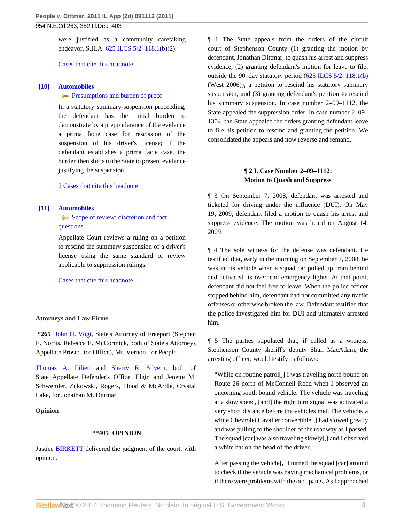were justified as a community caretaking endeavor. S.H.A. 625 ILCS 5/2-118.1(b)(2).

[Cases that cite this headnote](http://www.westlaw.com/Link/RelatedInformation/DocHeadnoteLink?docGuid=I00d3bd209b8f11e0b63e897ab6fa6920&headnoteId=202552148000920120229201003&originationContext=document&vr=3.0&rs=cblt1.0&transitionType=CitingReferences&contextData=(sc.Search))

## <span id="page-2-0"></span>**[\[10\]](#page-9-1) [Automobiles](http://www.westlaw.com/Browse/Home/KeyNumber/48A/View.html?docGuid=I00d3bd209b8f11e0b63e897ab6fa6920&originationContext=document&vr=3.0&rs=cblt1.0&transitionType=DocumentItem&contextData=(sc.Search))**

#### **[Presumptions and burden of proof](http://www.westlaw.com/Browse/Home/KeyNumber/48Ak144.2(9.6)/View.html?docGuid=I00d3bd209b8f11e0b63e897ab6fa6920&originationContext=document&vr=3.0&rs=cblt1.0&transitionType=DocumentItem&contextData=(sc.Search))**

In a statutory summary-suspension proceeding, the defendant has the initial burden to demonstrate by a preponderance of the evidence a prima facie case for rescission of the suspension of his driver's license; if the defendant establishes a prima facie case, the burden then shifts to the State to present evidence justifying the suspension.

[2 Cases that cite this headnote](http://www.westlaw.com/Link/RelatedInformation/DocHeadnoteLink?docGuid=I00d3bd209b8f11e0b63e897ab6fa6920&headnoteId=202552148001020120229201003&originationContext=document&vr=3.0&rs=cblt1.0&transitionType=CitingReferences&contextData=(sc.Search))

#### <span id="page-2-1"></span>**[\[11\]](#page-9-2) [Automobiles](http://www.westlaw.com/Browse/Home/KeyNumber/48A/View.html?docGuid=I00d3bd209b8f11e0b63e897ab6fa6920&originationContext=document&vr=3.0&rs=cblt1.0&transitionType=DocumentItem&contextData=(sc.Search))**

# [Scope of review; discretion and fact](http://www.westlaw.com/Browse/Home/KeyNumber/48Ak144.2(3)/View.html?docGuid=I00d3bd209b8f11e0b63e897ab6fa6920&originationContext=document&vr=3.0&rs=cblt1.0&transitionType=DocumentItem&contextData=(sc.Search)) [questions](http://www.westlaw.com/Browse/Home/KeyNumber/48Ak144.2(3)/View.html?docGuid=I00d3bd209b8f11e0b63e897ab6fa6920&originationContext=document&vr=3.0&rs=cblt1.0&transitionType=DocumentItem&contextData=(sc.Search))

Appellate Court reviews a ruling on a petition to rescind the summary suspension of a driver's license using the same standard of review applicable to suppression rulings.

[Cases that cite this headnote](http://www.westlaw.com/Link/RelatedInformation/DocHeadnoteLink?docGuid=I00d3bd209b8f11e0b63e897ab6fa6920&headnoteId=202552148001120120229201003&originationContext=document&vr=3.0&rs=cblt1.0&transitionType=CitingReferences&contextData=(sc.Search))

#### **Attorneys and Law Firms**

**\*265** [John H. Vogt,](http://www.westlaw.com/Link/Document/FullText?findType=h&pubNum=176284&cite=0140910301&originatingDoc=I00d3bd209b8f11e0b63e897ab6fa6920&refType=RQ&originationContext=document&vr=3.0&rs=cblt1.0&transitionType=DocumentItem&contextData=(sc.Search)) State's Attorney of Freeport (Stephen E. Norris, Rebecca E. McCormick, both of State's Attorneys Appellate Prosecutor Office), Mt. Vernon, for People.

[Thomas A. Lilien](http://www.westlaw.com/Link/Document/FullText?findType=h&pubNum=176284&cite=0113023701&originatingDoc=I00d3bd209b8f11e0b63e897ab6fa6920&refType=RQ&originationContext=document&vr=3.0&rs=cblt1.0&transitionType=DocumentItem&contextData=(sc.Search)) and [Sherry R. Silvern](http://www.westlaw.com/Link/Document/FullText?findType=h&pubNum=176284&cite=0215375301&originatingDoc=I00d3bd209b8f11e0b63e897ab6fa6920&refType=RQ&originationContext=document&vr=3.0&rs=cblt1.0&transitionType=DocumentItem&contextData=(sc.Search)), both of State Appellate Defender's Office, Elgin and Jenette M. Schwemler, Zukowski, Rogers, Flood & McArdle, Crystal Lake, for Jonathan M. Dittmar.

## **Opinion**

## **\*\*405 OPINION**

Justice [BIRKETT](http://www.westlaw.com/Link/Document/FullText?findType=h&pubNum=176284&cite=0124634501&originatingDoc=I00d3bd209b8f11e0b63e897ab6fa6920&refType=RQ&originationContext=document&vr=3.0&rs=cblt1.0&transitionType=DocumentItem&contextData=(sc.Search)) delivered the judgment of the court, with opinion.

¶ 1 The State appeals from the orders of the circuit court of Stephenson County (1) granting the motion by defendant, Jonathan Dittmar, to quash his arrest and suppress evidence, (2) granting defendant's motion for leave to file, outside the 90–day statutory period ([625 ILCS 5/2–118.1\(b\)](http://www.westlaw.com/Link/Document/FullText?findType=L&pubNum=1000008&cite=IL625S5%2f2-118.1&originatingDoc=I00d3bd209b8f11e0b63e897ab6fa6920&refType=SP&originationContext=document&vr=3.0&rs=cblt1.0&transitionType=DocumentItem&contextData=(sc.Search)#co_pp_a83b000018c76) (West 2006)), a petition to rescind his statutory summary suspension, and (3) granting defendant's petition to rescind his summary suspension. In case number 2–09–1112, the State appealed the suppression order. In case number 2–09– 1304, the State appealed the orders granting defendant leave to file his petition to rescind and granting the petition. We consolidated the appeals and now reverse and remand.

# **¶ 2 I. Case Number 2–09–1112: Motion to Quash and Suppress**

¶ 3 On September 7, 2008, defendant was arrested and ticketed for driving under the influence (DUI). On May 19, 2009, defendant filed a motion to quash his arrest and suppress evidence. The motion was heard on August 14, 2009.

¶ 4 The sole witness for the defense was defendant. He testified that, early in the morning on September 7, 2008, he was in his vehicle when a squad car pulled up from behind and activated its overhead emergency lights. At that point, defendant did not feel free to leave. When the police officer stopped behind him, defendant had not committed any traffic offenses or otherwise broken the law. Defendant testified that the police investigated him for DUI and ultimately arrested him.

¶ 5 The parties stipulated that, if called as a witness, Stephenson County sheriff's deputy Shan MacAdam, the arresting officer, would testify as follows:

"While on routine patrol[,] I was traveling north bound on Route 26 north of McConnell Road when I observed an oncoming south bound vehicle. The vehicle was traveling at a slow speed, [and] the right turn signal was activated a very short distance before the vehicles met. The vehicle, a white Chevrolet Cavalier convertible[,] had slowed greatly and was pulling to the shoulder of the roadway as I passed. The squad [car] was also traveling slowly[,] and I observed a white hat on the head of the driver.

After passing the vehicle[,] I turned the squad [car] around to check if the vehicle was having mechanical problems, or if there were problems with the occupants. As I approached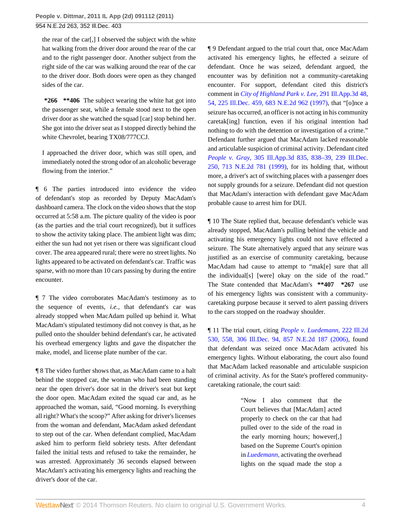the rear of the car[,] I observed the subject with the white hat walking from the driver door around the rear of the car and to the right passenger door. Another subject from the right side of the car was walking around the rear of the car to the driver door. Both doors were open as they changed sides of the car.

**\*266 \*\*406** The subject wearing the white hat got into the passenger seat, while a female stood next to the open driver door as she watched the squad [car] stop behind her. She got into the driver seat as I stopped directly behind the white Chevrolet, bearing TX08/777CCJ.

I approached the driver door, which was still open, and immediately noted the strong odor of an alcoholic beverage flowing from the interior."

¶ 6 The parties introduced into evidence the video of defendant's stop as recorded by Deputy MacAdam's dashboard camera. The clock on the video shows that the stop occurred at 5:58 a.m. The picture quality of the video is poor (as the parties and the trial court recognized), but it suffices to show the activity taking place. The ambient light was dim; either the sun had not yet risen or there was significant cloud cover. The area appeared rural; there were no street lights. No lights appeared to be activated on defendant's car. Traffic was sparse, with no more than 10 cars passing by during the entire encounter.

¶ 7 The video corroborates MacAdam's testimony as to the sequence of events, *i.e.,* that defendant's car was already stopped when MacAdam pulled up behind it. What MacAdam's stipulated testimony did not convey is that, as he pulled onto the shoulder behind defendant's car, he activated his overhead emergency lights and gave the dispatcher the make, model, and license plate number of the car.

¶ 8 The video further shows that, as MacAdam came to a halt behind the stopped car, the woman who had been standing near the open driver's door sat in the driver's seat but kept the door open. MacAdam exited the squad car and, as he approached the woman, said, "Good morning. Is everything all right? What's the scoop?" After asking for driver's licenses from the woman and defendant, MacAdam asked defendant to step out of the car. When defendant complied, MacAdam asked him to perform field sobriety tests. After defendant failed the initial tests and refused to take the remainder, he was arrested. Approximately 36 seconds elapsed between MacAdam's activating his emergency lights and reaching the driver's door of the car.

¶ 9 Defendant argued to the trial court that, once MacAdam activated his emergency lights, he effected a seizure of defendant. Once he was seized, defendant argued, the encounter was by definition not a community-caretaking encounter. For support, defendant cited this district's comment in *[City of Highland Park v. Lee,](http://www.westlaw.com/Link/Document/FullText?findType=Y&serNum=1997167064&pubNum=578&originationContext=document&vr=3.0&rs=cblt1.0&transitionType=DocumentItem&contextData=(sc.Search))* 291 Ill.App.3d 48, [54, 225 Ill.Dec. 459, 683 N.E.2d 962 \(1997\),](http://www.westlaw.com/Link/Document/FullText?findType=Y&serNum=1997167064&pubNum=578&originationContext=document&vr=3.0&rs=cblt1.0&transitionType=DocumentItem&contextData=(sc.Search)) that "[o]nce a seizure has occurred, an officer is not acting in his community caretak[ing] function, even if his original intention had nothing to do with the detention or investigation of a crime." Defendant further argued that MacAdam lacked reasonable and articulable suspicion of criminal activity. Defendant cited *People v. Gray,* [305 Ill.App.3d 835, 838–39, 239 Ill.Dec.](http://www.westlaw.com/Link/Document/FullText?findType=Y&serNum=1999155345&pubNum=578&originationContext=document&vr=3.0&rs=cblt1.0&transitionType=DocumentItem&contextData=(sc.Search)) [250, 713 N.E.2d 781 \(1999\),](http://www.westlaw.com/Link/Document/FullText?findType=Y&serNum=1999155345&pubNum=578&originationContext=document&vr=3.0&rs=cblt1.0&transitionType=DocumentItem&contextData=(sc.Search)) for its holding that, without more, a driver's act of switching places with a passenger does not supply grounds for a seizure. Defendant did not question that MacAdam's interaction with defendant gave MacAdam probable cause to arrest him for DUI.

¶ 10 The State replied that, because defendant's vehicle was already stopped, MacAdam's pulling behind the vehicle and activating his emergency lights could not have effected a seizure. The State alternatively argued that any seizure was justified as an exercise of community caretaking, because MacAdam had cause to attempt to "mak[e] sure that all the individual[s] [were] okay on the side of the road." The State contended that MacAdam's **\*\*407 \*267** use of his emergency lights was consistent with a communitycaretaking purpose because it served to alert passing drivers to the cars stopped on the roadway shoulder.

¶ 11 The trial court, citing *[People v. Luedemann,](http://www.westlaw.com/Link/Document/FullText?findType=Y&serNum=2010406877&pubNum=578&originationContext=document&vr=3.0&rs=cblt1.0&transitionType=DocumentItem&contextData=(sc.Search))* 222 Ill.2d [530, 558, 306 Ill.Dec. 94, 857 N.E.2d 187 \(2006\),](http://www.westlaw.com/Link/Document/FullText?findType=Y&serNum=2010406877&pubNum=578&originationContext=document&vr=3.0&rs=cblt1.0&transitionType=DocumentItem&contextData=(sc.Search)) found that defendant was seized once MacAdam activated his emergency lights. Without elaborating, the court also found that MacAdam lacked reasonable and articulable suspicion of criminal activity. As for the State's proffered communitycaretaking rationale, the court said:

> "Now I also comment that the Court believes that [MacAdam] acted properly to check on the car that had pulled over to the side of the road in the early morning hours; however[,] based on the Supreme Court's opinion in *[Luedemann,](http://www.westlaw.com/Link/Document/FullText?findType=Y&serNum=2010406877&originationContext=document&vr=3.0&rs=cblt1.0&transitionType=DocumentItem&contextData=(sc.Search))* activating the overhead lights on the squad made the stop a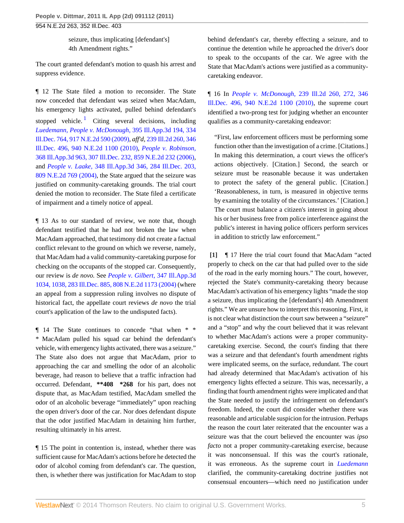seizure, thus implicating [defendant's] 4th Amendment rights."

The court granted defendant's motion to quash his arrest and suppress evidence.

<span id="page-4-1"></span>¶ 12 The State filed a motion to reconsider. The State now conceded that defendant was seized when MacAdam, his emergency lights activated, pulled behind defendant's stopped vehicle.<sup>[1](#page-10-0)</sup> Citing several decisions, including *[Luedemann,](http://www.westlaw.com/Link/Document/FullText?findType=Y&serNum=2010406877&originationContext=document&vr=3.0&rs=cblt1.0&transitionType=DocumentItem&contextData=(sc.Search)) People v. McDonough,* [395 Ill.App.3d 194, 334](http://www.westlaw.com/Link/Document/FullText?findType=Y&serNum=2020192770&pubNum=578&originationContext=document&vr=3.0&rs=cblt1.0&transitionType=DocumentItem&contextData=(sc.Search)) [Ill.Dec. 764, 917 N.E.2d 590 \(2009\),](http://www.westlaw.com/Link/Document/FullText?findType=Y&serNum=2020192770&pubNum=578&originationContext=document&vr=3.0&rs=cblt1.0&transitionType=DocumentItem&contextData=(sc.Search)) *aff'd,* [239 Ill.2d 260, 346](http://www.westlaw.com/Link/Document/FullText?findType=Y&serNum=2023792171&pubNum=578&originationContext=document&vr=3.0&rs=cblt1.0&transitionType=DocumentItem&contextData=(sc.Search)) [Ill.Dec. 496, 940 N.E.2d 1100 \(2010\),](http://www.westlaw.com/Link/Document/FullText?findType=Y&serNum=2023792171&pubNum=578&originationContext=document&vr=3.0&rs=cblt1.0&transitionType=DocumentItem&contextData=(sc.Search)) *[People v. Robinson,](http://www.westlaw.com/Link/Document/FullText?findType=Y&serNum=2010719159&pubNum=578&originationContext=document&vr=3.0&rs=cblt1.0&transitionType=DocumentItem&contextData=(sc.Search))* [368 Ill.App.3d 963, 307 Ill.Dec. 232, 859 N.E.2d 232 \(2006\)](http://www.westlaw.com/Link/Document/FullText?findType=Y&serNum=2010719159&pubNum=578&originationContext=document&vr=3.0&rs=cblt1.0&transitionType=DocumentItem&contextData=(sc.Search)), and *People v. Laake,* [348 Ill.App.3d 346, 284 Ill.Dec. 203,](http://www.westlaw.com/Link/Document/FullText?findType=Y&serNum=2004425433&pubNum=578&originationContext=document&vr=3.0&rs=cblt1.0&transitionType=DocumentItem&contextData=(sc.Search)) [809 N.E.2d 769 \(2004\)](http://www.westlaw.com/Link/Document/FullText?findType=Y&serNum=2004425433&pubNum=578&originationContext=document&vr=3.0&rs=cblt1.0&transitionType=DocumentItem&contextData=(sc.Search)), the State argued that the seizure was justified on community-caretaking grounds. The trial court denied the motion to reconsider. The State filed a certificate of impairment and a timely notice of appeal.

¶ 13 As to our standard of review, we note that, though defendant testified that he had not broken the law when MacAdam approached, that testimony did not create a factual conflict relevant to the ground on which we reverse, namely, that MacAdam had a valid community-caretaking purpose for checking on the occupants of the stopped car. Consequently, our review is *de novo.* See *[People v. Gilbert,](http://www.westlaw.com/Link/Document/FullText?findType=Y&serNum=2004462768&pubNum=578&originationContext=document&vr=3.0&rs=cblt1.0&transitionType=DocumentItem&contextData=(sc.Search))* 347 Ill.App.3d [1034, 1038, 283 Ill.Dec. 885, 808 N.E.2d 1173 \(2004\)](http://www.westlaw.com/Link/Document/FullText?findType=Y&serNum=2004462768&pubNum=578&originationContext=document&vr=3.0&rs=cblt1.0&transitionType=DocumentItem&contextData=(sc.Search)) (where an appeal from a suppression ruling involves no dispute of historical fact, the appellate court reviews *de novo* the trial court's application of the law to the undisputed facts).

¶ 14 The State continues to concede "that when \* \* \* MacAdam pulled his squad car behind the defendant's vehicle, with emergency lights activated, there was a seizure." The State also does not argue that MacAdam, prior to approaching the car and smelling the odor of an alcoholic beverage, had reason to believe that a traffic infraction had occurred. Defendant, **\*\*408 \*268** for his part, does not dispute that, as MacAdam testified, MacAdam smelled the odor of an alcoholic beverage "immediately" upon reaching the open driver's door of the car. Nor does defendant dispute that the odor justified MacAdam in detaining him further, resulting ultimately in his arrest.

¶ 15 The point in contention is, instead, whether there was sufficient cause for MacAdam's actions before he detected the odor of alcohol coming from defendant's car. The question, then, is whether there was justification for MacAdam to stop behind defendant's car, thereby effecting a seizure, and to continue the detention while he approached the driver's door to speak to the occupants of the car. We agree with the State that MacAdam's actions were justified as a communitycaretaking endeavor.

¶ 16 In *People v. McDonough,* [239 Ill.2d 260, 272, 346](http://www.westlaw.com/Link/Document/FullText?findType=Y&serNum=2023792171&pubNum=578&originationContext=document&vr=3.0&rs=cblt1.0&transitionType=DocumentItem&contextData=(sc.Search)) [Ill.Dec. 496, 940 N.E.2d 1100 \(2010\)](http://www.westlaw.com/Link/Document/FullText?findType=Y&serNum=2023792171&pubNum=578&originationContext=document&vr=3.0&rs=cblt1.0&transitionType=DocumentItem&contextData=(sc.Search)), the supreme court identified a two-prong test for judging whether an encounter qualifies as a community-caretaking endeavor:

"First, law enforcement officers must be performing some function other than the investigation of a crime. [Citations.] In making this determination, a court views the officer's actions objectively. [Citation.] Second, the search or seizure must be reasonable because it was undertaken to protect the safety of the general public. [Citation.] 'Reasonableness, in turn, is measured in objective terms by examining the totality of the circumstances.' [Citation.] The court must balance a citizen's interest in going about his or her business free from police interference against the public's interest in having police officers perform services in addition to strictly law enforcement."

<span id="page-4-0"></span>**[\[1\]](#page-0-1)** ¶ 17 Here the trial court found that MacAdam "acted properly to check on the car that had pulled over to the side of the road in the early morning hours." The court, however, rejected the State's community-caretaking theory because MacAdam's activation of his emergency lights "made the stop a seizure, thus implicating the [defendant's] 4th Amendment rights." We are unsure how to interpret this reasoning. First, it is not clear what distinction the court saw between a "seizure" and a "stop" and why the court believed that it was relevant to whether MacAdam's actions were a proper communitycaretaking exercise. Second, the court's finding that there was a seizure and that defendant's fourth amendment rights were implicated seems, on the surface, redundant. The court had already determined that MacAdam's activation of his emergency lights effected a seizure. This was, necessarily, a finding that fourth amendment rights were implicated and that the State needed to justify the infringement on defendant's freedom. Indeed, the court did consider whether there was reasonable and articulable suspicion for the intrusion. Perhaps the reason the court later reiterated that the encounter was a seizure was that the court believed the encounter was *ipso facto* not a proper community-caretaking exercise, because it was nonconsensual. If this was the court's rationale, it was erroneous. As the supreme court in *[Luedemann](http://www.westlaw.com/Link/Document/FullText?findType=Y&serNum=2010406877&originationContext=document&vr=3.0&rs=cblt1.0&transitionType=DocumentItem&contextData=(sc.Search))* clarified, the community-caretaking doctrine justifies not consensual encounters—which need no justification under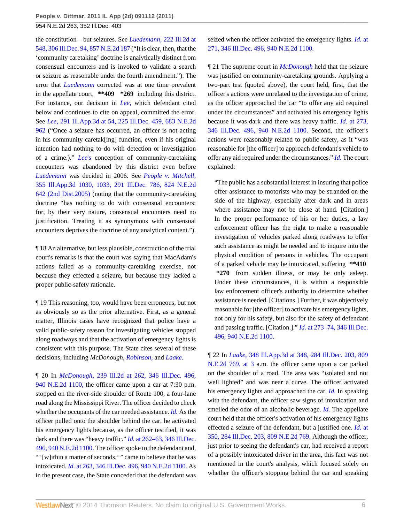the constitution—but seizures. See *Luedemann,* [222 Ill.2d at](http://www.westlaw.com/Link/Document/FullText?findType=Y&serNum=2010406877&pubNum=578&originationContext=document&vr=3.0&rs=cblt1.0&transitionType=DocumentItem&contextData=(sc.Search)) [548, 306 Ill.Dec. 94, 857 N.E.2d 187](http://www.westlaw.com/Link/Document/FullText?findType=Y&serNum=2010406877&pubNum=578&originationContext=document&vr=3.0&rs=cblt1.0&transitionType=DocumentItem&contextData=(sc.Search)) ("It is clear, then, that the 'community caretaking' doctrine is analytically distinct from consensual encounters and is invoked to validate a search or seizure as reasonable under the fourth amendment."). The error that *[Luedemann](http://www.westlaw.com/Link/Document/FullText?findType=Y&serNum=2010406877&originationContext=document&vr=3.0&rs=cblt1.0&transitionType=DocumentItem&contextData=(sc.Search))* corrected was at one time prevalent in the appellate court, **\*\*409 \*269** including this district. For instance, our decision in *[Lee,](http://www.westlaw.com/Link/Document/FullText?findType=Y&serNum=1997167064&originationContext=document&vr=3.0&rs=cblt1.0&transitionType=DocumentItem&contextData=(sc.Search))* which defendant cited below and continues to cite on appeal, committed the error. See *Lee,* [291 Ill.App.3d at 54, 225 Ill.Dec. 459, 683 N.E.2d](http://www.westlaw.com/Link/Document/FullText?findType=Y&serNum=1997167064&pubNum=578&originationContext=document&vr=3.0&rs=cblt1.0&transitionType=DocumentItem&contextData=(sc.Search)) [962](http://www.westlaw.com/Link/Document/FullText?findType=Y&serNum=1997167064&pubNum=578&originationContext=document&vr=3.0&rs=cblt1.0&transitionType=DocumentItem&contextData=(sc.Search)) ("Once a seizure has occurred, an officer is not acting in his community caretak[ing] function, even if his original intention had nothing to do with detection or investigation of a crime.)." *[Lee](http://www.westlaw.com/Link/Document/FullText?findType=Y&serNum=1997167064&originationContext=document&vr=3.0&rs=cblt1.0&transitionType=DocumentItem&contextData=(sc.Search))*'s conception of community-caretaking encounters was abandoned by this district even before *[Luedemann](http://www.westlaw.com/Link/Document/FullText?findType=Y&serNum=2010406877&originationContext=document&vr=3.0&rs=cblt1.0&transitionType=DocumentItem&contextData=(sc.Search))* was decided in 2006. See *[People v. Mitchell,](http://www.westlaw.com/Link/Document/FullText?findType=Y&serNum=2006317639&pubNum=578&originationContext=document&vr=3.0&rs=cblt1.0&transitionType=DocumentItem&contextData=(sc.Search))* [355 Ill.App.3d 1030, 1033, 291 Ill.Dec. 786, 824 N.E.2d](http://www.westlaw.com/Link/Document/FullText?findType=Y&serNum=2006317639&pubNum=578&originationContext=document&vr=3.0&rs=cblt1.0&transitionType=DocumentItem&contextData=(sc.Search)) [642 \(2nd Dist.2005\)](http://www.westlaw.com/Link/Document/FullText?findType=Y&serNum=2006317639&pubNum=578&originationContext=document&vr=3.0&rs=cblt1.0&transitionType=DocumentItem&contextData=(sc.Search)) (noting that the community-caretaking doctrine "has nothing to do with consensual encounters; for, by their very nature, consensual encounters need no justification. Treating it as synonymous with consensual encounters deprives the doctrine of any analytical content.").

¶ 18 An alternative, but less plausible, construction of the trial court's remarks is that the court was saying that MacAdam's actions failed as a community-caretaking exercise, not because they effected a seizure, but because they lacked a proper public-safety rationale.

¶ 19 This reasoning, too, would have been erroneous, but not as obviously so as the prior alternative. First, as a general matter, Illinois cases have recognized that police have a valid public-safety reason for investigating vehicles stopped along roadways and that the activation of emergency lights is consistent with this purpose. The State cites several of these decisions, including *McDonough*, *[Robinson,](http://www.westlaw.com/Link/Document/FullText?findType=Y&serNum=2010719159&originationContext=document&vr=3.0&rs=cblt1.0&transitionType=DocumentItem&contextData=(sc.Search))* and *[Laake.](http://www.westlaw.com/Link/Document/FullText?findType=Y&serNum=2004425433&originationContext=document&vr=3.0&rs=cblt1.0&transitionType=DocumentItem&contextData=(sc.Search))*

¶ 20 In *McDonough,* [239 Ill.2d at 262, 346 Ill.Dec. 496,](http://www.westlaw.com/Link/Document/FullText?findType=Y&serNum=2023792171&pubNum=578&originationContext=document&vr=3.0&rs=cblt1.0&transitionType=DocumentItem&contextData=(sc.Search)) [940 N.E.2d 1100,](http://www.westlaw.com/Link/Document/FullText?findType=Y&serNum=2023792171&pubNum=578&originationContext=document&vr=3.0&rs=cblt1.0&transitionType=DocumentItem&contextData=(sc.Search)) the officer came upon a car at 7:30 p.m. stopped on the river-side shoulder of Route 100, a four-lane road along the Mississippi River. The officer decided to check whether the occupants of the car needed assistance. *[Id.](http://www.westlaw.com/Link/Document/FullText?findType=Y&serNum=2023792171&originationContext=document&vr=3.0&rs=cblt1.0&transitionType=DocumentItem&contextData=(sc.Search))* As the officer pulled onto the shoulder behind the car, he activated his emergency lights because, as the officer testified, it was dark and there was "heavy traffic." *Id.* [at 262–63, 346 Ill.Dec.](http://www.westlaw.com/Link/Document/FullText?findType=Y&serNum=2023792171&pubNum=578&originationContext=document&vr=3.0&rs=cblt1.0&transitionType=DocumentItem&contextData=(sc.Search)) [496, 940 N.E.2d 1100.](http://www.westlaw.com/Link/Document/FullText?findType=Y&serNum=2023792171&pubNum=578&originationContext=document&vr=3.0&rs=cblt1.0&transitionType=DocumentItem&contextData=(sc.Search)) The officer spoke to the defendant and, " '[w]ithin a matter of seconds,' " came to believe that he was intoxicated. *Id.* [at 263, 346 Ill.Dec. 496, 940 N.E.2d 1100.](http://www.westlaw.com/Link/Document/FullText?findType=Y&serNum=2023792171&pubNum=578&originationContext=document&vr=3.0&rs=cblt1.0&transitionType=DocumentItem&contextData=(sc.Search)) As in the present case, the State conceded that the defendant was seized when the officer activated the emergency lights. *[Id.](http://www.westlaw.com/Link/Document/FullText?findType=Y&serNum=2023792171&pubNum=578&originationContext=document&vr=3.0&rs=cblt1.0&transitionType=DocumentItem&contextData=(sc.Search))* at [271, 346 Ill.Dec. 496, 940 N.E.2d 1100.](http://www.westlaw.com/Link/Document/FullText?findType=Y&serNum=2023792171&pubNum=578&originationContext=document&vr=3.0&rs=cblt1.0&transitionType=DocumentItem&contextData=(sc.Search))

¶ 21 The supreme court in *[McDonough](http://www.westlaw.com/Link/Document/FullText?findType=Y&serNum=2023792171&originationContext=document&vr=3.0&rs=cblt1.0&transitionType=DocumentItem&contextData=(sc.Search))* held that the seizure was justified on community-caretaking grounds. Applying a two-part test (quoted above), the court held, first, that the officer's actions were unrelated to the investigation of crime, as the officer approached the car "to offer any aid required under the circumstances" and activated his emergency lights because it was dark and there was heavy traffic. *Id.* [at 273,](http://www.westlaw.com/Link/Document/FullText?findType=Y&serNum=2023792171&pubNum=578&originationContext=document&vr=3.0&rs=cblt1.0&transitionType=DocumentItem&contextData=(sc.Search)) [346 Ill.Dec. 496, 940 N.E.2d 1100.](http://www.westlaw.com/Link/Document/FullText?findType=Y&serNum=2023792171&pubNum=578&originationContext=document&vr=3.0&rs=cblt1.0&transitionType=DocumentItem&contextData=(sc.Search)) Second, the officer's actions were reasonably related to public safety, as it "was reasonable for [the officer] to approach defendant's vehicle to offer any aid required under the circumstances." *[Id.](http://www.westlaw.com/Link/Document/FullText?findType=Y&serNum=2023792171&originationContext=document&vr=3.0&rs=cblt1.0&transitionType=DocumentItem&contextData=(sc.Search))* The court explained:

"The public has a substantial interest in insuring that police offer assistance to motorists who may be stranded on the side of the highway, especially after dark and in areas where assistance may not be close at hand. [Citation.] In the proper performance of his or her duties, a law enforcement officer has the right to make a reasonable investigation of vehicles parked along roadways to offer such assistance as might be needed and to inquire into the physical condition of persons in vehicles. The occupant of a parked vehicle may be intoxicated, suffering **\*\*410 \*270** from sudden illness, or may be only asleep. Under these circumstances, it is within a responsible law enforcement officer's authority to determine whether assistance is needed. [Citations.] Further, it was objectively reasonable for [the officer] to activate his emergency lights, not only for his safety, but also for the safety of defendant and passing traffic. [Citation.]." *Id.* [at 273–74, 346 Ill.Dec.](http://www.westlaw.com/Link/Document/FullText?findType=Y&serNum=2023792171&pubNum=578&originationContext=document&vr=3.0&rs=cblt1.0&transitionType=DocumentItem&contextData=(sc.Search)) [496, 940 N.E.2d 1100.](http://www.westlaw.com/Link/Document/FullText?findType=Y&serNum=2023792171&pubNum=578&originationContext=document&vr=3.0&rs=cblt1.0&transitionType=DocumentItem&contextData=(sc.Search))

¶ 22 In *Laake,* [348 Ill.App.3d at 348, 284 Ill.Dec. 203, 809](http://www.westlaw.com/Link/Document/FullText?findType=Y&serNum=2004425433&pubNum=578&originationContext=document&vr=3.0&rs=cblt1.0&transitionType=DocumentItem&contextData=(sc.Search)) [N.E.2d 769, at 3](http://www.westlaw.com/Link/Document/FullText?findType=Y&serNum=2004425433&pubNum=578&originationContext=document&vr=3.0&rs=cblt1.0&transitionType=DocumentItem&contextData=(sc.Search)) a.m. the officer came upon a car parked on the shoulder of a road. The area was "isolated and not well lighted" and was near a curve. The officer activated his emergency lights and approached the car. *[Id.](http://www.westlaw.com/Link/Document/FullText?findType=Y&serNum=2004425433&originationContext=document&vr=3.0&rs=cblt1.0&transitionType=DocumentItem&contextData=(sc.Search))* In speaking with the defendant, the officer saw signs of intoxication and smelled the odor of an alcoholic beverage. *[Id.](http://www.westlaw.com/Link/Document/FullText?findType=Y&serNum=2004425433&originationContext=document&vr=3.0&rs=cblt1.0&transitionType=DocumentItem&contextData=(sc.Search))* The appellate court held that the officer's activation of his emergency lights effected a seizure of the defendant, but a justified one. *[Id.](http://www.westlaw.com/Link/Document/FullText?findType=Y&serNum=2004425433&pubNum=578&originationContext=document&vr=3.0&rs=cblt1.0&transitionType=DocumentItem&contextData=(sc.Search))* at [350, 284 Ill.Dec. 203, 809 N.E.2d 769.](http://www.westlaw.com/Link/Document/FullText?findType=Y&serNum=2004425433&pubNum=578&originationContext=document&vr=3.0&rs=cblt1.0&transitionType=DocumentItem&contextData=(sc.Search)) Although the officer, just prior to seeing the defendant's car, had received a report of a possibly intoxicated driver in the area, this fact was not mentioned in the court's analysis, which focused solely on whether the officer's stopping behind the car and speaking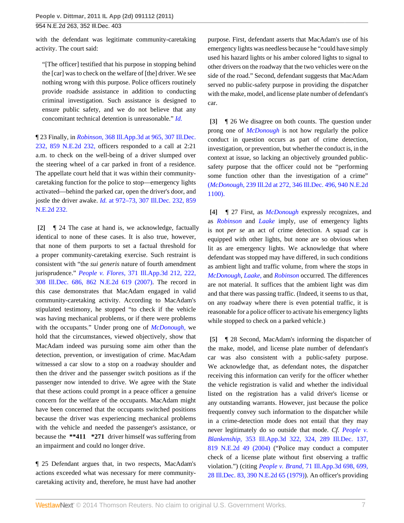with the defendant was legitimate community-caretaking activity. The court said:

"[The officer] testified that his purpose in stopping behind the [car] was to check on the welfare of [the] driver. We see nothing wrong with this purpose. Police officers routinely provide roadside assistance in addition to conducting criminal investigation. Such assistance is designed to ensure public safety, and we do not believe that any concomitant technical detention is unreasonable." *[Id.](http://www.westlaw.com/Link/Document/FullText?findType=Y&serNum=2004425433&originationContext=document&vr=3.0&rs=cblt1.0&transitionType=DocumentItem&contextData=(sc.Search))*

¶ 23 Finally, in *Robinson,* [368 Ill.App.3d at 965, 307 Ill.Dec.](http://www.westlaw.com/Link/Document/FullText?findType=Y&serNum=2010719159&pubNum=578&originationContext=document&vr=3.0&rs=cblt1.0&transitionType=DocumentItem&contextData=(sc.Search)) [232, 859 N.E.2d 232,](http://www.westlaw.com/Link/Document/FullText?findType=Y&serNum=2010719159&pubNum=578&originationContext=document&vr=3.0&rs=cblt1.0&transitionType=DocumentItem&contextData=(sc.Search)) officers responded to a call at 2:21 a.m. to check on the well-being of a driver slumped over the steering wheel of a car parked in front of a residence. The appellate court held that it was within their communitycaretaking function for the police to stop—emergency lights activated—behind the parked car, open the driver's door, and jostle the driver awake. *Id.* [at 972–73, 307 Ill.Dec. 232, 859](http://www.westlaw.com/Link/Document/FullText?findType=Y&serNum=2010719159&pubNum=578&originationContext=document&vr=3.0&rs=cblt1.0&transitionType=DocumentItem&contextData=(sc.Search)) [N.E.2d 232.](http://www.westlaw.com/Link/Document/FullText?findType=Y&serNum=2010719159&pubNum=578&originationContext=document&vr=3.0&rs=cblt1.0&transitionType=DocumentItem&contextData=(sc.Search))

<span id="page-6-0"></span>**[\[2\]](#page-0-0)** ¶ 24 The case at hand is, we acknowledge, factually identical to none of these cases. It is also true, however, that none of them purports to set a factual threshold for a proper community-caretaking exercise. Such restraint is consistent with "the *sui generis* nature of fourth amendment jurisprudence." *People v. Flores,* [371 Ill.App.3d 212, 222,](http://www.westlaw.com/Link/Document/FullText?findType=Y&serNum=2011371921&pubNum=578&originationContext=document&vr=3.0&rs=cblt1.0&transitionType=DocumentItem&contextData=(sc.Search)) [308 Ill.Dec. 686, 862 N.E.2d 619 \(2007\).](http://www.westlaw.com/Link/Document/FullText?findType=Y&serNum=2011371921&pubNum=578&originationContext=document&vr=3.0&rs=cblt1.0&transitionType=DocumentItem&contextData=(sc.Search)) The record in this case demonstrates that MacAdam engaged in valid community-caretaking activity. According to MacAdam's stipulated testimony, he stopped "to check if the vehicle was having mechanical problems, or if there were problems with the occupants." Under prong one of *[McDonough,](http://www.westlaw.com/Link/Document/FullText?findType=Y&serNum=2023792171&originationContext=document&vr=3.0&rs=cblt1.0&transitionType=DocumentItem&contextData=(sc.Search))* we hold that the circumstances, viewed objectively, show that MacAdam indeed was pursuing some aim other than the detection, prevention, or investigation of crime. MacAdam witnessed a car slow to a stop on a roadway shoulder and then the driver and the passenger switch positions as if the passenger now intended to drive. We agree with the State that these actions could prompt in a peace officer a genuine concern for the welfare of the occupants. MacAdam might have been concerned that the occupants switched positions because the driver was experiencing mechanical problems with the vehicle and needed the passenger's assistance, or because the **\*\*411 \*271** driver himself was suffering from an impairment and could no longer drive.

¶ 25 Defendant argues that, in two respects, MacAdam's actions exceeded what was necessary for mere communitycaretaking activity and, therefore, he must have had another purpose. First, defendant asserts that MacAdam's use of his emergency lights was needless because he "could have simply used his hazard lights or his amber colored lights to signal to other drivers on the roadway that the two vehicles were on the side of the road." Second, defendant suggests that MacAdam served no public-safety purpose in providing the dispatcher with the make, model, and license plate number of defendant's car.

<span id="page-6-1"></span>**[\[3\]](#page-0-2)** ¶ 26 We disagree on both counts. The question under prong one of *[McDonough](http://www.westlaw.com/Link/Document/FullText?findType=Y&serNum=2023792171&originationContext=document&vr=3.0&rs=cblt1.0&transitionType=DocumentItem&contextData=(sc.Search))* is not how regularly the police conduct in question occurs as part of crime detection, investigation, or prevention, but whether the conduct is, in the context at issue, so lacking an objectively grounded publicsafety purpose that the officer could not be "performing some function other than the investigation of a crime" (*McDonough,* [239 Ill.2d at 272, 346 Ill.Dec. 496, 940 N.E.2d](http://www.westlaw.com/Link/Document/FullText?findType=Y&serNum=2023792171&pubNum=578&originationContext=document&vr=3.0&rs=cblt1.0&transitionType=DocumentItem&contextData=(sc.Search)) [1100\).](http://www.westlaw.com/Link/Document/FullText?findType=Y&serNum=2023792171&pubNum=578&originationContext=document&vr=3.0&rs=cblt1.0&transitionType=DocumentItem&contextData=(sc.Search))

<span id="page-6-2"></span>**[\[4\]](#page-1-2)** ¶ 27 First, as *[McDonough](http://www.westlaw.com/Link/Document/FullText?findType=Y&serNum=2023792171&originationContext=document&vr=3.0&rs=cblt1.0&transitionType=DocumentItem&contextData=(sc.Search))* expressly recognizes, and as *[Robinson](http://www.westlaw.com/Link/Document/FullText?findType=Y&serNum=2010719159&originationContext=document&vr=3.0&rs=cblt1.0&transitionType=DocumentItem&contextData=(sc.Search))* and *[Laake](http://www.westlaw.com/Link/Document/FullText?findType=Y&serNum=2004425433&originationContext=document&vr=3.0&rs=cblt1.0&transitionType=DocumentItem&contextData=(sc.Search))* imply, use of emergency lights is not *per se* an act of crime detection. A squad car is equipped with other lights, but none are so obvious when lit as are emergency lights. We acknowledge that where defendant was stopped may have differed, in such conditions as ambient light and traffic volume, from where the stops in *[McDonough](http://www.westlaw.com/Link/Document/FullText?findType=Y&serNum=2023792171&originationContext=document&vr=3.0&rs=cblt1.0&transitionType=DocumentItem&contextData=(sc.Search))*, *[Laake,](http://www.westlaw.com/Link/Document/FullText?findType=Y&serNum=2004425433&originationContext=document&vr=3.0&rs=cblt1.0&transitionType=DocumentItem&contextData=(sc.Search))* and *[Robinson](http://www.westlaw.com/Link/Document/FullText?findType=Y&serNum=2010719159&originationContext=document&vr=3.0&rs=cblt1.0&transitionType=DocumentItem&contextData=(sc.Search))* occurred. The differences are not material. It suffices that the ambient light was dim and that there was passing traffic. (Indeed, it seems to us that, on any roadway where there is even potential traffic, it is reasonable for a police officer to activate his emergency lights while stopped to check on a parked vehicle.)

<span id="page-6-3"></span>**[\[5\]](#page-1-3)** ¶ 28 Second, MacAdam's informing the dispatcher of the make, model, and license plate number of defendant's car was also consistent with a public-safety purpose. We acknowledge that, as defendant notes, the dispatcher receiving this information can verify for the officer whether the vehicle registration is valid and whether the individual listed on the registration has a valid driver's license or any outstanding warrants. However, just because the police frequently convey such information to the dispatcher while in a crime-detection mode does not entail that they may never legitimately do so outside that mode. *Cf. [People v.](http://www.westlaw.com/Link/Document/FullText?findType=Y&serNum=2005508883&pubNum=578&originationContext=document&vr=3.0&rs=cblt1.0&transitionType=DocumentItem&contextData=(sc.Search)) Blankenship,* [353 Ill.App.3d 322, 324, 289 Ill.Dec. 137,](http://www.westlaw.com/Link/Document/FullText?findType=Y&serNum=2005508883&pubNum=578&originationContext=document&vr=3.0&rs=cblt1.0&transitionType=DocumentItem&contextData=(sc.Search)) [819 N.E.2d 49 \(2004\)](http://www.westlaw.com/Link/Document/FullText?findType=Y&serNum=2005508883&pubNum=578&originationContext=document&vr=3.0&rs=cblt1.0&transitionType=DocumentItem&contextData=(sc.Search)) ("Police may conduct a computer check of a license plate without first observing a traffic violation.") (citing *People v. Brand,* [71 Ill.App.3d 698, 699,](http://www.westlaw.com/Link/Document/FullText?findType=Y&serNum=1979135609&pubNum=578&originationContext=document&vr=3.0&rs=cblt1.0&transitionType=DocumentItem&contextData=(sc.Search)) [28 Ill.Dec. 83, 390 N.E.2d 65 \(1979\)\)](http://www.westlaw.com/Link/Document/FullText?findType=Y&serNum=1979135609&pubNum=578&originationContext=document&vr=3.0&rs=cblt1.0&transitionType=DocumentItem&contextData=(sc.Search)). An officer's providing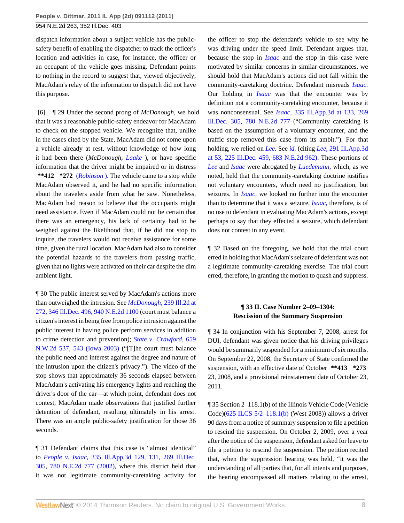dispatch information about a subject vehicle has the publicsafety benefit of enabling the dispatcher to track the officer's location and activities in case, for instance, the officer or an occupant of the vehicle goes missing. Defendant points to nothing in the record to suggest that, viewed objectively, MacAdam's relay of the information to dispatch did not have this purpose.

<span id="page-7-0"></span>**[\[6\]](#page-1-0)** ¶ 29 Under the second prong of *McDonough,* we hold that it was a reasonable public-safety endeavor for MacAdam to check on the stopped vehicle. We recognize that, unlike in the cases cited by the State, MacAdam did not come upon a vehicle already at rest, without knowledge of how long it had been there (*McDonough, [Laake](http://www.westlaw.com/Link/Document/FullText?findType=Y&serNum=2004425433&originationContext=document&vr=3.0&rs=cblt1.0&transitionType=DocumentItem&contextData=(sc.Search))* ), or have specific information that the driver might be impaired or in distress **\*\*412 \*272** (*[Robinson](http://www.westlaw.com/Link/Document/FullText?findType=Y&serNum=2010719159&originationContext=document&vr=3.0&rs=cblt1.0&transitionType=DocumentItem&contextData=(sc.Search))* ). The vehicle came to a stop while MacAdam observed it, and he had no specific information about the travelers aside from what he saw. Nonetheless, MacAdam had reason to believe that the occupants might need assistance. Even if MacAdam could not be certain that there was an emergency, his lack of certainty had to be weighed against the likelihood that, if he did not stop to inquire, the travelers would not receive assistance for some time, given the rural location. MacAdam had also to consider the potential hazards to the travelers from passing traffic, given that no lights were activated on their car despite the dim ambient light.

¶ 30 The public interest served by MacAdam's actions more than outweighed the intrusion. See *[McDonough,](http://www.westlaw.com/Link/Document/FullText?findType=Y&serNum=2023792171&pubNum=578&originationContext=document&vr=3.0&rs=cblt1.0&transitionType=DocumentItem&contextData=(sc.Search))* 239 Ill.2d at [272, 346 Ill.Dec. 496, 940 N.E.2d 1100](http://www.westlaw.com/Link/Document/FullText?findType=Y&serNum=2023792171&pubNum=578&originationContext=document&vr=3.0&rs=cblt1.0&transitionType=DocumentItem&contextData=(sc.Search)) (court must balance a citizen's interest in being free from police intrusion against the public interest in having police perform services in addition to crime detection and prevention); *[State v. Crawford,](http://www.westlaw.com/Link/Document/FullText?findType=Y&serNum=2003258122&pubNum=595&fi=co_pp_sp_595_543&originationContext=document&vr=3.0&rs=cblt1.0&transitionType=DocumentItem&contextData=(sc.Search)#co_pp_sp_595_543)* 659 [N.W.2d 537, 543 \(Iowa 2003\)](http://www.westlaw.com/Link/Document/FullText?findType=Y&serNum=2003258122&pubNum=595&fi=co_pp_sp_595_543&originationContext=document&vr=3.0&rs=cblt1.0&transitionType=DocumentItem&contextData=(sc.Search)#co_pp_sp_595_543) ("[T]he court must balance the public need and interest against the degree and nature of the intrusion upon the citizen's privacy."). The video of the stop shows that approximately 36 seconds elapsed between MacAdam's activating his emergency lights and reaching the driver's door of the car—at which point, defendant does not contest, MacAdam made observations that justified further detention of defendant, resulting ultimately in his arrest. There was an ample public-safety justification for those 36 seconds.

¶ 31 Defendant claims that this case is "almost identical" to *People v. Isaac,* [335 Ill.App.3d 129, 131, 269 Ill.Dec.](http://www.westlaw.com/Link/Document/FullText?findType=Y&serNum=2002755641&pubNum=578&originationContext=document&vr=3.0&rs=cblt1.0&transitionType=DocumentItem&contextData=(sc.Search)) [305, 780 N.E.2d 777 \(2002\),](http://www.westlaw.com/Link/Document/FullText?findType=Y&serNum=2002755641&pubNum=578&originationContext=document&vr=3.0&rs=cblt1.0&transitionType=DocumentItem&contextData=(sc.Search)) where this district held that it was not legitimate community-caretaking activity for the officer to stop the defendant's vehicle to see why he was driving under the speed limit. Defendant argues that, because the stop in *[Isaac](http://www.westlaw.com/Link/Document/FullText?findType=Y&serNum=2002755641&originationContext=document&vr=3.0&rs=cblt1.0&transitionType=DocumentItem&contextData=(sc.Search))* and the stop in this case were motivated by similar concerns in similar circumstances, we should hold that MacAdam's actions did not fall within the community-caretaking doctrine. Defendant misreads *[Isaac.](http://www.westlaw.com/Link/Document/FullText?findType=Y&serNum=2002755641&originationContext=document&vr=3.0&rs=cblt1.0&transitionType=DocumentItem&contextData=(sc.Search))* Our holding in *[Isaac](http://www.westlaw.com/Link/Document/FullText?findType=Y&serNum=2002755641&originationContext=document&vr=3.0&rs=cblt1.0&transitionType=DocumentItem&contextData=(sc.Search))* was that the encounter was by definition not a community-caretaking encounter, because it was nonconsensual. See *Isaac,* [335 Ill.App.3d at 133, 269](http://www.westlaw.com/Link/Document/FullText?findType=Y&serNum=2002755641&pubNum=578&originationContext=document&vr=3.0&rs=cblt1.0&transitionType=DocumentItem&contextData=(sc.Search)) [Ill.Dec. 305, 780 N.E.2d 777](http://www.westlaw.com/Link/Document/FullText?findType=Y&serNum=2002755641&pubNum=578&originationContext=document&vr=3.0&rs=cblt1.0&transitionType=DocumentItem&contextData=(sc.Search)) ("Community caretaking is based on the assumption of a voluntary encounter, and the traffic stop removed this case from its ambit."). For that holding, we relied on *[Lee.](http://www.westlaw.com/Link/Document/FullText?findType=Y&serNum=1997167064&originationContext=document&vr=3.0&rs=cblt1.0&transitionType=DocumentItem&contextData=(sc.Search))* See *[id.](http://www.westlaw.com/Link/Document/FullText?findType=Y&serNum=2002755641&originationContext=document&vr=3.0&rs=cblt1.0&transitionType=DocumentItem&contextData=(sc.Search))* (citing *Lee,* [291 Ill.App.3d](http://www.westlaw.com/Link/Document/FullText?findType=Y&serNum=1997167064&pubNum=578&originationContext=document&vr=3.0&rs=cblt1.0&transitionType=DocumentItem&contextData=(sc.Search)) [at 53, 225 Ill.Dec. 459, 683 N.E.2d 962\).](http://www.westlaw.com/Link/Document/FullText?findType=Y&serNum=1997167064&pubNum=578&originationContext=document&vr=3.0&rs=cblt1.0&transitionType=DocumentItem&contextData=(sc.Search)) These portions of *[Lee](http://www.westlaw.com/Link/Document/FullText?findType=Y&serNum=1997167064&originationContext=document&vr=3.0&rs=cblt1.0&transitionType=DocumentItem&contextData=(sc.Search))* and *[Isaac](http://www.westlaw.com/Link/Document/FullText?findType=Y&serNum=2002755641&originationContext=document&vr=3.0&rs=cblt1.0&transitionType=DocumentItem&contextData=(sc.Search))* were abrogated by *[Luedemann,](http://www.westlaw.com/Link/Document/FullText?findType=Y&serNum=2010406877&originationContext=document&vr=3.0&rs=cblt1.0&transitionType=DocumentItem&contextData=(sc.Search))* which, as we noted, held that the community-caretaking doctrine justifies not voluntary encounters, which need no justification, but seizures. In *[Isaac,](http://www.westlaw.com/Link/Document/FullText?findType=Y&serNum=2002755641&originationContext=document&vr=3.0&rs=cblt1.0&transitionType=DocumentItem&contextData=(sc.Search))* we looked no further into the encounter than to determine that it was a seizure. *[Isaac,](http://www.westlaw.com/Link/Document/FullText?findType=Y&serNum=2002755641&originationContext=document&vr=3.0&rs=cblt1.0&transitionType=DocumentItem&contextData=(sc.Search))* therefore, is of no use to defendant in evaluating MacAdam's actions, except perhaps to say that they effected a seizure, which defendant does not contest in any event.

¶ 32 Based on the foregoing, we hold that the trial court erred in holding that MacAdam's seizure of defendant was not a legitimate community-caretaking exercise. The trial court erred, therefore, in granting the motion to quash and suppress.

# **¶ 33 II. Case Number 2–09–1304: Rescission of the Summary Suspension**

¶ 34 In conjunction with his September 7, 2008, arrest for DUI, defendant was given notice that his driving privileges would be summarily suspended for a minimum of six months. On September 22, 2008, the Secretary of State confirmed the suspension, with an effective date of October **\*\*413 \*273** 23, 2008, and a provisional reinstatement date of October 23, 2011.

¶ 35 Section 2–118.1(b) of the Illinois Vehicle Code (Vehicle Code)([625 ILCS 5/2–118.1\(b\)](http://www.westlaw.com/Link/Document/FullText?findType=L&pubNum=1000008&cite=IL625S5%2f2-118.1&originatingDoc=I00d3bd209b8f11e0b63e897ab6fa6920&refType=SP&originationContext=document&vr=3.0&rs=cblt1.0&transitionType=DocumentItem&contextData=(sc.Search)#co_pp_a83b000018c76) (West 2008)) allows a driver 90 days from a notice of summary suspension to file a petition to rescind the suspension. On October 2, 2009, over a year after the notice of the suspension, defendant asked for leave to file a petition to rescind the suspension. The petition recited that, when the suppression hearing was held, "it was the understanding of all parties that, for all intents and purposes, the hearing encompassed all matters relating to the arrest,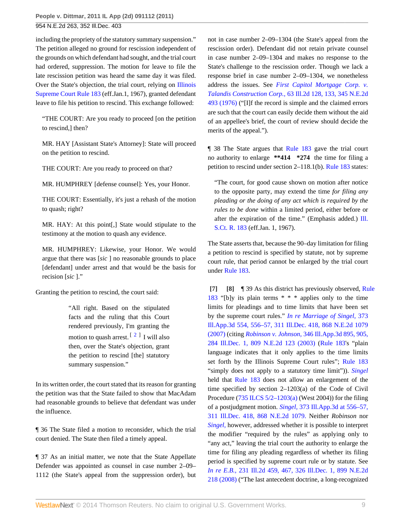including the propriety of the statutory summary suspension." The petition alleged no ground for rescission independent of the grounds on which defendant had sought, and the trial court had ordered, suppression. The motion for leave to file the late rescission petition was heard the same day it was filed. Over the State's objection, the trial court, relying on [Illinois](http://www.westlaw.com/Link/Document/FullText?findType=L&pubNum=1000008&cite=ILSTSCTR183&originatingDoc=I00d3bd209b8f11e0b63e897ab6fa6920&refType=LQ&originationContext=document&vr=3.0&rs=cblt1.0&transitionType=DocumentItem&contextData=(sc.Search)) [Supreme Court Rule 183](http://www.westlaw.com/Link/Document/FullText?findType=L&pubNum=1000008&cite=ILSTSCTR183&originatingDoc=I00d3bd209b8f11e0b63e897ab6fa6920&refType=LQ&originationContext=document&vr=3.0&rs=cblt1.0&transitionType=DocumentItem&contextData=(sc.Search)) (eff.Jan.1, 1967), granted defendant leave to file his petition to rescind. This exchange followed:

"THE COURT: Are you ready to proceed [on the petition to rescind,] then?

MR. HAY [Assistant State's Attorney]: State will proceed on the petition to rescind.

THE COURT: Are you ready to proceed on that?

MR. HUMPHREY [defense counsel]: Yes, your Honor.

THE COURT: Essentially, it's just a rehash of the motion to quash; right?

MR. HAY: At this point[,] State would stipulate to the testimony at the motion to quash any evidence.

MR. HUMPHREY: Likewise, your Honor. We would argue that there was [*sic* ] no reasonable grounds to place [defendant] under arrest and that would be the basis for recision [*sic* ]."

Granting the petition to rescind, the court said:

<span id="page-8-2"></span>"All right. Based on the stipulated facts and the ruling that this Court rendered previously, I'm granting the motion to quash arrest.  $\left[2\right]$  $\left[2\right]$  $\left[2\right]$  I will also then, over the State's objection, grant the petition to rescind [the] statutory summary suspension."

In its written order, the court stated that its reason for granting the petition was that the State failed to show that MacAdam had reasonable grounds to believe that defendant was under the influence.

¶ 36 The State filed a motion to reconsider, which the trial court denied. The State then filed a timely appeal.

¶ 37 As an initial matter, we note that the State Appellate Defender was appointed as counsel in case number 2–09– 1112 (the State's appeal from the suppression order), but not in case number 2–09–1304 (the State's appeal from the rescission order). Defendant did not retain private counsel in case number 2–09–1304 and makes no response to the State's challenge to the rescission order. Though we lack a response brief in case number 2–09–1304, we nonetheless address the issues. See *[First Capitol Mortgage Corp. v.](http://www.westlaw.com/Link/Document/FullText?findType=Y&serNum=1976106934&pubNum=578&originationContext=document&vr=3.0&rs=cblt1.0&transitionType=DocumentItem&contextData=(sc.Search)) Talandis Construction Corp.,* [63 Ill.2d 128, 133, 345 N.E.2d](http://www.westlaw.com/Link/Document/FullText?findType=Y&serNum=1976106934&pubNum=578&originationContext=document&vr=3.0&rs=cblt1.0&transitionType=DocumentItem&contextData=(sc.Search)) [493 \(1976\)](http://www.westlaw.com/Link/Document/FullText?findType=Y&serNum=1976106934&pubNum=578&originationContext=document&vr=3.0&rs=cblt1.0&transitionType=DocumentItem&contextData=(sc.Search)) ("[I]f the record is simple and the claimed errors are such that the court can easily decide them without the aid of an appellee's brief, the court of review should decide the merits of the appeal.").

¶ 38 The State argues that [Rule 183](http://www.westlaw.com/Link/Document/FullText?findType=L&pubNum=1000008&cite=ILSTSCTR183&originatingDoc=I00d3bd209b8f11e0b63e897ab6fa6920&refType=LQ&originationContext=document&vr=3.0&rs=cblt1.0&transitionType=DocumentItem&contextData=(sc.Search)) gave the trial court no authority to enlarge **\*\*414 \*274** the time for filing a petition to rescind under section 2–118.1(b). [Rule 183](http://www.westlaw.com/Link/Document/FullText?findType=L&pubNum=1000008&cite=ILSTSCTR183&originatingDoc=I00d3bd209b8f11e0b63e897ab6fa6920&refType=LQ&originationContext=document&vr=3.0&rs=cblt1.0&transitionType=DocumentItem&contextData=(sc.Search)) states:

"The court, for good cause shown on motion after notice to the opposite party, may extend the time *for filing any pleading or the doing of any act which is required by the rules to be done* within a limited period, either before or after the expiration of the time." (Emphasis added.) [Ill.](http://www.westlaw.com/Link/Document/FullText?findType=L&pubNum=1000008&cite=ILSTSCTR183&originatingDoc=I00d3bd209b8f11e0b63e897ab6fa6920&refType=LQ&originationContext=document&vr=3.0&rs=cblt1.0&transitionType=DocumentItem&contextData=(sc.Search)) [S.Ct. R. 183](http://www.westlaw.com/Link/Document/FullText?findType=L&pubNum=1000008&cite=ILSTSCTR183&originatingDoc=I00d3bd209b8f11e0b63e897ab6fa6920&refType=LQ&originationContext=document&vr=3.0&rs=cblt1.0&transitionType=DocumentItem&contextData=(sc.Search)) (eff.Jan. 1, 1967).

The State asserts that, because the 90–day limitation for filing a petition to rescind is specified by statute, not by supreme court rule, that period cannot be enlarged by the trial court under [Rule 183.](http://www.westlaw.com/Link/Document/FullText?findType=L&pubNum=1000008&cite=ILSTSCTR183&originatingDoc=I00d3bd209b8f11e0b63e897ab6fa6920&refType=LQ&originationContext=document&vr=3.0&rs=cblt1.0&transitionType=DocumentItem&contextData=(sc.Search))

<span id="page-8-1"></span><span id="page-8-0"></span>**[\[7\]](#page-1-4) [\[8\]](#page-1-5)** ¶ 39 As this district has previously observed, [Rule](http://www.westlaw.com/Link/Document/FullText?findType=L&pubNum=1000008&cite=ILSTSCTR183&originatingDoc=I00d3bd209b8f11e0b63e897ab6fa6920&refType=LQ&originationContext=document&vr=3.0&rs=cblt1.0&transitionType=DocumentItem&contextData=(sc.Search)) [183](http://www.westlaw.com/Link/Document/FullText?findType=L&pubNum=1000008&cite=ILSTSCTR183&originatingDoc=I00d3bd209b8f11e0b63e897ab6fa6920&refType=LQ&originationContext=document&vr=3.0&rs=cblt1.0&transitionType=DocumentItem&contextData=(sc.Search)) "[b]y its plain terms \* \* \* applies only to the time limits for pleadings and to time limits that have been set by the supreme court rules." *[In re Marriage of Singel,](http://www.westlaw.com/Link/Document/FullText?findType=Y&serNum=2012324868&pubNum=578&originationContext=document&vr=3.0&rs=cblt1.0&transitionType=DocumentItem&contextData=(sc.Search))* 373 [Ill.App.3d 554, 556–57, 311 Ill.Dec. 418, 868 N.E.2d 1079](http://www.westlaw.com/Link/Document/FullText?findType=Y&serNum=2012324868&pubNum=578&originationContext=document&vr=3.0&rs=cblt1.0&transitionType=DocumentItem&contextData=(sc.Search)) [\(2007\)](http://www.westlaw.com/Link/Document/FullText?findType=Y&serNum=2012324868&pubNum=578&originationContext=document&vr=3.0&rs=cblt1.0&transitionType=DocumentItem&contextData=(sc.Search)) (citing *Robinson v. Johnson,* [346 Ill.App.3d 895, 905,](http://www.westlaw.com/Link/Document/FullText?findType=Y&serNum=2003655302&pubNum=578&originationContext=document&vr=3.0&rs=cblt1.0&transitionType=DocumentItem&contextData=(sc.Search)) [284 Ill.Dec. 1, 809 N.E.2d 123 \(2003\)](http://www.westlaw.com/Link/Document/FullText?findType=Y&serNum=2003655302&pubNum=578&originationContext=document&vr=3.0&rs=cblt1.0&transitionType=DocumentItem&contextData=(sc.Search)) [\(Rule 183](http://www.westlaw.com/Link/Document/FullText?findType=L&pubNum=1000008&cite=ILSTSCTR183&originatingDoc=I00d3bd209b8f11e0b63e897ab6fa6920&refType=LQ&originationContext=document&vr=3.0&rs=cblt1.0&transitionType=DocumentItem&contextData=(sc.Search))'s "plain language indicates that it only applies to the time limits set forth by the Illinois Supreme Court rules"; [Rule 183](http://www.westlaw.com/Link/Document/FullText?findType=L&pubNum=1000008&cite=ILSTSCTR183&originatingDoc=I00d3bd209b8f11e0b63e897ab6fa6920&refType=LQ&originationContext=document&vr=3.0&rs=cblt1.0&transitionType=DocumentItem&contextData=(sc.Search)) "simply does not apply to a statutory time limit")). *[Singel](http://www.westlaw.com/Link/Document/FullText?findType=Y&serNum=2012324868&originationContext=document&vr=3.0&rs=cblt1.0&transitionType=DocumentItem&contextData=(sc.Search))* held that [Rule 183](http://www.westlaw.com/Link/Document/FullText?findType=L&pubNum=1000008&cite=ILSTSCTR183&originatingDoc=I00d3bd209b8f11e0b63e897ab6fa6920&refType=LQ&originationContext=document&vr=3.0&rs=cblt1.0&transitionType=DocumentItem&contextData=(sc.Search)) does not allow an enlargement of the time specified by section 2–1203(a) of the Code of Civil Procedure [\(735 ILCS 5/2–1203\(a\)](http://www.westlaw.com/Link/Document/FullText?findType=L&pubNum=1000008&cite=IL735S5%2f2-1203&originatingDoc=I00d3bd209b8f11e0b63e897ab6fa6920&refType=SP&originationContext=document&vr=3.0&rs=cblt1.0&transitionType=DocumentItem&contextData=(sc.Search)#co_pp_8b3b0000958a4) (West 2004)) for the filing of a postjudgment motion. *Singel,* [373 Ill.App.3d at 556–57,](http://www.westlaw.com/Link/Document/FullText?findType=Y&serNum=2012324868&pubNum=578&originationContext=document&vr=3.0&rs=cblt1.0&transitionType=DocumentItem&contextData=(sc.Search)) [311 Ill.Dec. 418, 868 N.E.2d 1079.](http://www.westlaw.com/Link/Document/FullText?findType=Y&serNum=2012324868&pubNum=578&originationContext=document&vr=3.0&rs=cblt1.0&transitionType=DocumentItem&contextData=(sc.Search)) Neither *Robinson* nor *[Singel,](http://www.westlaw.com/Link/Document/FullText?findType=Y&serNum=2012324868&originationContext=document&vr=3.0&rs=cblt1.0&transitionType=DocumentItem&contextData=(sc.Search))* however, addressed whether it is possible to interpret the modifier "required by the rules" as applying only to "any act," leaving the trial court the authority to enlarge the time for filing any pleading regardless of whether its filing period is specified by supreme court rule or by statute. See *In re E.B.,* [231 Ill.2d 459, 467, 326 Ill.Dec. 1, 899 N.E.2d](http://www.westlaw.com/Link/Document/FullText?findType=Y&serNum=2017482206&pubNum=578&originationContext=document&vr=3.0&rs=cblt1.0&transitionType=DocumentItem&contextData=(sc.Search)) [218 \(2008\)](http://www.westlaw.com/Link/Document/FullText?findType=Y&serNum=2017482206&pubNum=578&originationContext=document&vr=3.0&rs=cblt1.0&transitionType=DocumentItem&contextData=(sc.Search)) ("The last antecedent doctrine, a long-recognized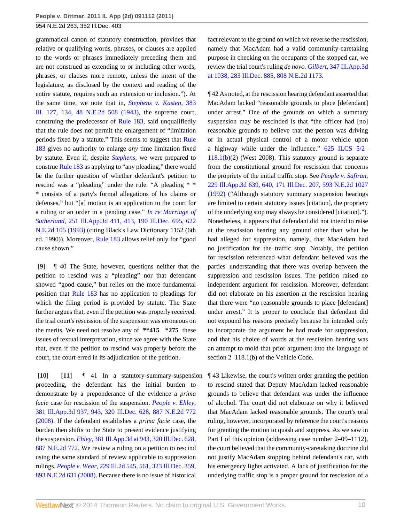grammatical canon of statutory construction, provides that relative or qualifying words, phrases, or clauses are applied to the words or phrases immediately preceding them and are not construed as extending to or including other words, phrases, or clauses more remote, unless the intent of the legislature, as disclosed by the context and reading of the entire statute, requires such an extension or inclusion."). At the same time, we note that in, *[Stephens v. Kasten,](http://www.westlaw.com/Link/Document/FullText?findType=Y&serNum=1943109714&pubNum=578&originationContext=document&vr=3.0&rs=cblt1.0&transitionType=DocumentItem&contextData=(sc.Search))* 383 [Ill. 127, 134, 48 N.E.2d 508 \(1943\)](http://www.westlaw.com/Link/Document/FullText?findType=Y&serNum=1943109714&pubNum=578&originationContext=document&vr=3.0&rs=cblt1.0&transitionType=DocumentItem&contextData=(sc.Search)), the supreme court, construing the predecessor of [Rule 183](http://www.westlaw.com/Link/Document/FullText?findType=L&pubNum=1000008&cite=ILSTSCTR183&originatingDoc=I00d3bd209b8f11e0b63e897ab6fa6920&refType=LQ&originationContext=document&vr=3.0&rs=cblt1.0&transitionType=DocumentItem&contextData=(sc.Search)), said unqualifiedly that the rule does not permit the enlargement of "limitation periods fixed by a statute." This seems to suggest that [Rule](http://www.westlaw.com/Link/Document/FullText?findType=L&pubNum=1000008&cite=ILSTSCTR183&originatingDoc=I00d3bd209b8f11e0b63e897ab6fa6920&refType=LQ&originationContext=document&vr=3.0&rs=cblt1.0&transitionType=DocumentItem&contextData=(sc.Search)) [183](http://www.westlaw.com/Link/Document/FullText?findType=L&pubNum=1000008&cite=ILSTSCTR183&originatingDoc=I00d3bd209b8f11e0b63e897ab6fa6920&refType=LQ&originationContext=document&vr=3.0&rs=cblt1.0&transitionType=DocumentItem&contextData=(sc.Search)) gives no authority to enlarge *any* time limitation fixed by statute. Even if, despite *[Stephens,](http://www.westlaw.com/Link/Document/FullText?findType=Y&serNum=1943109714&originationContext=document&vr=3.0&rs=cblt1.0&transitionType=DocumentItem&contextData=(sc.Search))* we were prepared to construe [Rule 183](http://www.westlaw.com/Link/Document/FullText?findType=L&pubNum=1000008&cite=ILSTSCTR183&originatingDoc=I00d3bd209b8f11e0b63e897ab6fa6920&refType=LQ&originationContext=document&vr=3.0&rs=cblt1.0&transitionType=DocumentItem&contextData=(sc.Search)) as applying to "any pleading," there would be the further question of whether defendant's petition to rescind was a "pleading" under the rule. "A pleading \* \* \* consists of a party's formal allegations of his claims or defenses," but "[a] motion is an application to the court for a ruling or an order in a pending case." *[In re Marriage of](http://www.westlaw.com/Link/Document/FullText?findType=Y&serNum=1993201374&pubNum=578&originationContext=document&vr=3.0&rs=cblt1.0&transitionType=DocumentItem&contextData=(sc.Search)) Sutherland,* [251 Ill.App.3d 411, 413, 190 Ill.Dec. 695, 622](http://www.westlaw.com/Link/Document/FullText?findType=Y&serNum=1993201374&pubNum=578&originationContext=document&vr=3.0&rs=cblt1.0&transitionType=DocumentItem&contextData=(sc.Search)) [N.E.2d 105 \(1993\)](http://www.westlaw.com/Link/Document/FullText?findType=Y&serNum=1993201374&pubNum=578&originationContext=document&vr=3.0&rs=cblt1.0&transitionType=DocumentItem&contextData=(sc.Search)) (citing Black's Law Dictionary 1152 (6th ed. 1990)). Moreover, [Rule 183](http://www.westlaw.com/Link/Document/FullText?findType=L&pubNum=1000008&cite=ILSTSCTR183&originatingDoc=I00d3bd209b8f11e0b63e897ab6fa6920&refType=LQ&originationContext=document&vr=3.0&rs=cblt1.0&transitionType=DocumentItem&contextData=(sc.Search)) allows relief only for "good cause shown."

<span id="page-9-0"></span>**[\[9\]](#page-1-1)** ¶ 40 The State, however, questions neither that the petition to rescind was a "pleading" nor that defendant showed "good cause," but relies on the more fundamental position that [Rule 183](http://www.westlaw.com/Link/Document/FullText?findType=L&pubNum=1000008&cite=ILSTSCTR183&originatingDoc=I00d3bd209b8f11e0b63e897ab6fa6920&refType=LQ&originationContext=document&vr=3.0&rs=cblt1.0&transitionType=DocumentItem&contextData=(sc.Search)) has no application to pleadings for which the filing period is provided by statute. The State further argues that, even if the petition was properly received, the trial court's rescission of the suspension was erroneous on the merits. We need not resolve any of **\*\*415 \*275** these issues of textual interpretation, since we agree with the State that, even if the petition to rescind was properly before the court, the court erred in its adjudication of the petition.

<span id="page-9-2"></span><span id="page-9-1"></span>**[\[10\]](#page-2-0) [\[11\]](#page-2-1)** ¶ 41 In a statutory-summary-suspension proceeding, the defendant has the initial burden to demonstrate by a preponderance of the evidence a *prima facie* case for rescission of the suspension. *[People v. Ehley,](http://www.westlaw.com/Link/Document/FullText?findType=Y&serNum=2015894602&pubNum=578&originationContext=document&vr=3.0&rs=cblt1.0&transitionType=DocumentItem&contextData=(sc.Search))* [381 Ill.App.3d 937, 943, 320 Ill.Dec. 628, 887 N.E.2d 772](http://www.westlaw.com/Link/Document/FullText?findType=Y&serNum=2015894602&pubNum=578&originationContext=document&vr=3.0&rs=cblt1.0&transitionType=DocumentItem&contextData=(sc.Search)) [\(2008\).](http://www.westlaw.com/Link/Document/FullText?findType=Y&serNum=2015894602&pubNum=578&originationContext=document&vr=3.0&rs=cblt1.0&transitionType=DocumentItem&contextData=(sc.Search)) If the defendant establishes a *prima facie* case, the burden then shifts to the State to present evidence justifying the suspension. *Ehley,* [381 Ill.App.3d at 943, 320 Ill.Dec. 628,](http://www.westlaw.com/Link/Document/FullText?findType=Y&serNum=2015894602&pubNum=578&originationContext=document&vr=3.0&rs=cblt1.0&transitionType=DocumentItem&contextData=(sc.Search)) [887 N.E.2d 772.](http://www.westlaw.com/Link/Document/FullText?findType=Y&serNum=2015894602&pubNum=578&originationContext=document&vr=3.0&rs=cblt1.0&transitionType=DocumentItem&contextData=(sc.Search)) We review a ruling on a petition to rescind using the same standard of review applicable to suppression rulings. *People v. Wear,* [229 Ill.2d 545, 561, 323 Ill.Dec. 359,](http://www.westlaw.com/Link/Document/FullText?findType=Y&serNum=2016597332&pubNum=578&originationContext=document&vr=3.0&rs=cblt1.0&transitionType=DocumentItem&contextData=(sc.Search)) [893 N.E.2d 631 \(2008\).](http://www.westlaw.com/Link/Document/FullText?findType=Y&serNum=2016597332&pubNum=578&originationContext=document&vr=3.0&rs=cblt1.0&transitionType=DocumentItem&contextData=(sc.Search)) Because there is no issue of historical

fact relevant to the ground on which we reverse the rescission, namely that MacAdam had a valid community-caretaking purpose in checking on the occupants of the stopped car, we review the trial court's ruling *de novo. Gilbert,* [347 Ill.App.3d](http://www.westlaw.com/Link/Document/FullText?findType=Y&serNum=2004462768&pubNum=578&originationContext=document&vr=3.0&rs=cblt1.0&transitionType=DocumentItem&contextData=(sc.Search)) [at 1038, 283 Ill.Dec. 885, 808 N.E.2d 1173](http://www.westlaw.com/Link/Document/FullText?findType=Y&serNum=2004462768&pubNum=578&originationContext=document&vr=3.0&rs=cblt1.0&transitionType=DocumentItem&contextData=(sc.Search)).

¶ 42 As noted, at the rescission hearing defendant asserted that MacAdam lacked "reasonable grounds to place [defendant] under arrest." One of the grounds on which a summary suspension may be rescinded is that "the officer had [no] reasonable grounds to believe that the person was driving or in actual physical control of a motor vehicle upon a highway while under the influence." [625 ILCS 5/2–](http://www.westlaw.com/Link/Document/FullText?findType=L&pubNum=1000008&cite=IL625S5%2f2-118.1&originatingDoc=I00d3bd209b8f11e0b63e897ab6fa6920&refType=SP&originationContext=document&vr=3.0&rs=cblt1.0&transitionType=DocumentItem&contextData=(sc.Search)#co_pp_a83b000018c76) [118.1\(b\)](http://www.westlaw.com/Link/Document/FullText?findType=L&pubNum=1000008&cite=IL625S5%2f2-118.1&originatingDoc=I00d3bd209b8f11e0b63e897ab6fa6920&refType=SP&originationContext=document&vr=3.0&rs=cblt1.0&transitionType=DocumentItem&contextData=(sc.Search)#co_pp_a83b000018c76)(2) (West 2008). This statutory ground is separate from the constitutional ground for rescission that concerns the propriety of the initial traffic stop. See *[People v. Safiran,](http://www.westlaw.com/Link/Document/FullText?findType=Y&serNum=1992093839&pubNum=578&originationContext=document&vr=3.0&rs=cblt1.0&transitionType=DocumentItem&contextData=(sc.Search))* [229 Ill.App.3d 639, 640, 171 Ill.Dec. 207, 593 N.E.2d 1027](http://www.westlaw.com/Link/Document/FullText?findType=Y&serNum=1992093839&pubNum=578&originationContext=document&vr=3.0&rs=cblt1.0&transitionType=DocumentItem&contextData=(sc.Search)) [\(1992\)](http://www.westlaw.com/Link/Document/FullText?findType=Y&serNum=1992093839&pubNum=578&originationContext=document&vr=3.0&rs=cblt1.0&transitionType=DocumentItem&contextData=(sc.Search)) ("Although statutory summary suspension hearings are limited to certain statutory issues [citation], the propriety of the underlying stop may always be considered [citation]."). Nonetheless, it appears that defendant did not intend to raise at the rescission hearing any ground other than what he had alleged for suppression, namely, that MacAdam had no justification for the traffic stop. Notably, the petition for rescission referenced what defendant believed was the parties' understanding that there was overlap between the suppression and rescission issues. The petition raised no independent argument for rescission. Moreover, defendant did not elaborate on his assertion at the rescission hearing that there were "no reasonable grounds to place [defendant] under arrest." It is proper to conclude that defendant did not expound his reasons precisely because he intended only to incorporate the argument he had made for suppression, and that his choice of words at the rescission hearing was an attempt to mold that prior argument into the language of section 2–118.1(b) of the Vehicle Code.

¶ 43 Likewise, the court's written order granting the petition to rescind stated that Deputy MacAdam lacked reasonable grounds to believe that defendant was under the influence of alcohol. The court did not elaborate on why it believed that MacAdam lacked reasonable grounds. The court's oral ruling, however, incorporated by reference the court's reasons for granting the motion to quash and suppress. As we saw in Part I of this opinion (addressing case number 2–09–1112), the court believed that the community-caretaking doctrine did not justify MacAdam stopping behind defendant's car, with his emergency lights activated. A lack of justification for the underlying traffic stop is a proper ground for rescission of a